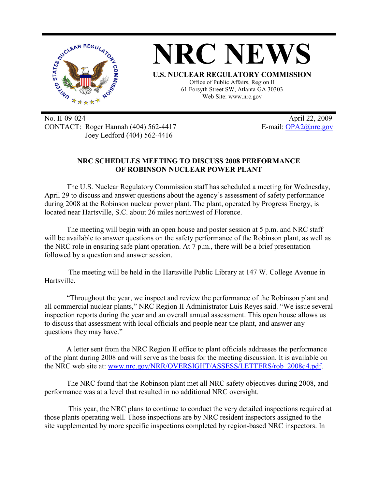

No. II-09-024 April 22, 2009 CONTACT: Roger Hannah (404) 562-4417 E-mail: OPA2@nrc.gov Joey Ledford (404) 562-4416

## **NRC SCHEDULES MEETING TO DISCUSS 2008 PERFORMANCE OF ROBINSON NUCLEAR POWER PLANT**

The U.S. Nuclear Regulatory Commission staff has scheduled a meeting for Wednesday, April 29 to discuss and answer questions about the agency's assessment of safety performance during 2008 at the Robinson nuclear power plant. The plant, operated by Progress Energy, is located near Hartsville, S.C. about 26 miles northwest of Florence.

The meeting will begin with an open house and poster session at 5 p.m. and NRC staff will be available to answer questions on the safety performance of the Robinson plant, as well as the NRC role in ensuring safe plant operation. At 7 p.m., there will be a brief presentation followed by a question and answer session.

 The meeting will be held in the Hartsville Public Library at 147 W. College Avenue in Hartsville.

"Throughout the year, we inspect and review the performance of the Robinson plant and all commercial nuclear plants," NRC Region II Administrator Luis Reyes said. "We issue several inspection reports during the year and an overall annual assessment. This open house allows us to discuss that assessment with local officials and people near the plant, and answer any questions they may have."

A letter sent from the NRC Region II office to plant officials addresses the performance of the plant during 2008 and will serve as the basis for the meeting discussion. It is available on the NRC web site at: www.nrc.gov/NRR/OVERSIGHT/ASSESS/LETTERS/rob\_2008q4.pdf.

The NRC found that the Robinson plant met all NRC safety objectives during 2008, and performance was at a level that resulted in no additional NRC oversight.

 This year, the NRC plans to continue to conduct the very detailed inspections required at those plants operating well. Those inspections are by NRC resident inspectors assigned to the site supplemented by more specific inspections completed by region-based NRC inspectors. In